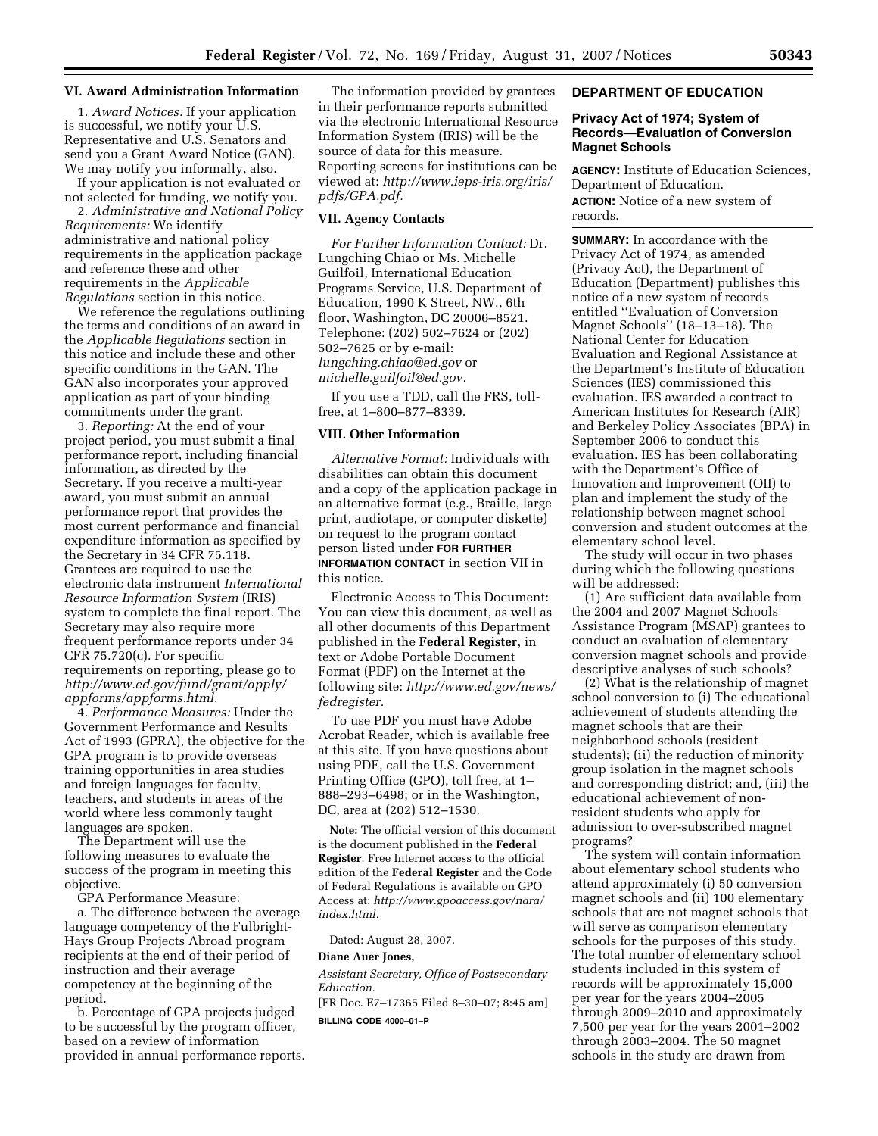### **VI. Award Administration Information**

1. *Award Notices:* If your application is successful, we notify your U.S. Representative and U.S. Senators and send you a Grant Award Notice (GAN). We may notify you informally, also.

If your application is not evaluated or not selected for funding, we notify you.

2. *Administrative and National Policy Requirements:* We identify administrative and national policy requirements in the application package and reference these and other requirements in the *Applicable Regulations* section in this notice.

We reference the regulations outlining the terms and conditions of an award in the *Applicable Regulations* section in this notice and include these and other specific conditions in the GAN. The GAN also incorporates your approved application as part of your binding commitments under the grant.

3. *Reporting:* At the end of your project period, you must submit a final performance report, including financial information, as directed by the Secretary. If you receive a multi-year award, you must submit an annual performance report that provides the most current performance and financial expenditure information as specified by the Secretary in 34 CFR 75.118. Grantees are required to use the electronic data instrument *International Resource Information System* (IRIS) system to complete the final report. The Secretary may also require more frequent performance reports under 34 CFR 75.720(c). For specific requirements on reporting, please go to *http://www.ed.gov/fund/grant/apply/ appforms/appforms.html.* 

4. *Performance Measures:* Under the Government Performance and Results Act of 1993 (GPRA), the objective for the GPA program is to provide overseas training opportunities in area studies and foreign languages for faculty, teachers, and students in areas of the world where less commonly taught languages are spoken.

The Department will use the following measures to evaluate the success of the program in meeting this objective.

GPA Performance Measure:

a. The difference between the average language competency of the Fulbright-Hays Group Projects Abroad program recipients at the end of their period of instruction and their average competency at the beginning of the period.

b. Percentage of GPA projects judged to be successful by the program officer, based on a review of information provided in annual performance reports.

The information provided by grantees in their performance reports submitted via the electronic International Resource Information System (IRIS) will be the source of data for this measure. Reporting screens for institutions can be viewed at: *http://www.ieps-iris.org/iris/ pdfs/GPA.pdf.* 

# **VII. Agency Contacts**

*For Further Information Contact:* Dr. Lungching Chiao or Ms. Michelle Guilfoil, International Education Programs Service, U.S. Department of Education, 1990 K Street, NW., 6th floor, Washington, DC 20006–8521. Telephone: (202) 502–7624 or (202) 502–7625 or by e-mail: *lungching.chiao@ed.gov* or *michelle.guilfoil@ed.gov.* 

If you use a TDD, call the FRS, tollfree, at 1–800–877–8339.

### **VIII. Other Information**

*Alternative Format:* Individuals with disabilities can obtain this document and a copy of the application package in an alternative format (e.g., Braille, large print, audiotape, or computer diskette) on request to the program contact person listed under **FOR FURTHER** 

**INFORMATION CONTACT** in section VII in this notice.

Electronic Access to This Document: You can view this document, as well as all other documents of this Department published in the **Federal Register**, in text or Adobe Portable Document Format (PDF) on the Internet at the following site: *http://www.ed.gov/news/ fedregister.* 

To use PDF you must have Adobe Acrobat Reader, which is available free at this site. If you have questions about using PDF, call the U.S. Government Printing Office (GPO), toll free, at 1– 888–293–6498; or in the Washington, DC, area at (202) 512–1530.

**Note:** The official version of this document is the document published in the **Federal Register**. Free Internet access to the official edition of the **Federal Register** and the Code of Federal Regulations is available on GPO Access at: *http://www.gpoaccess.gov/nara/ index.html.* 

Dated: August 28, 2007.

#### **Diane Auer Jones,**

*Assistant Secretary, Office of Postsecondary Education.* 

[FR Doc. E7–17365 Filed 8–30–07; 8:45 am] **BILLING CODE 4000–01–P** 

# **DEPARTMENT OF EDUCATION**

## **Privacy Act of 1974; System of Records—Evaluation of Conversion Magnet Schools**

**AGENCY:** Institute of Education Sciences, Department of Education.

**ACTION:** Notice of a new system of records.

**SUMMARY:** In accordance with the Privacy Act of 1974, as amended (Privacy Act), the Department of Education (Department) publishes this notice of a new system of records entitled ''Evaluation of Conversion Magnet Schools'' (18–13–18). The National Center for Education Evaluation and Regional Assistance at the Department's Institute of Education Sciences (IES) commissioned this evaluation. IES awarded a contract to American Institutes for Research (AIR) and Berkeley Policy Associates (BPA) in September 2006 to conduct this evaluation. IES has been collaborating with the Department's Office of Innovation and Improvement (OII) to plan and implement the study of the relationship between magnet school conversion and student outcomes at the elementary school level.

The study will occur in two phases during which the following questions will be addressed:

(1) Are sufficient data available from the 2004 and 2007 Magnet Schools Assistance Program (MSAP) grantees to conduct an evaluation of elementary conversion magnet schools and provide descriptive analyses of such schools?

(2) What is the relationship of magnet school conversion to (i) The educational achievement of students attending the magnet schools that are their neighborhood schools (resident students); (ii) the reduction of minority group isolation in the magnet schools and corresponding district; and, (iii) the educational achievement of nonresident students who apply for admission to over-subscribed magnet programs?

The system will contain information about elementary school students who attend approximately (i) 50 conversion magnet schools and (ii) 100 elementary schools that are not magnet schools that will serve as comparison elementary schools for the purposes of this study. The total number of elementary school students included in this system of records will be approximately 15,000 per year for the years 2004–2005 through 2009–2010 and approximately 7,500 per year for the years 2001–2002 through 2003–2004. The 50 magnet schools in the study are drawn from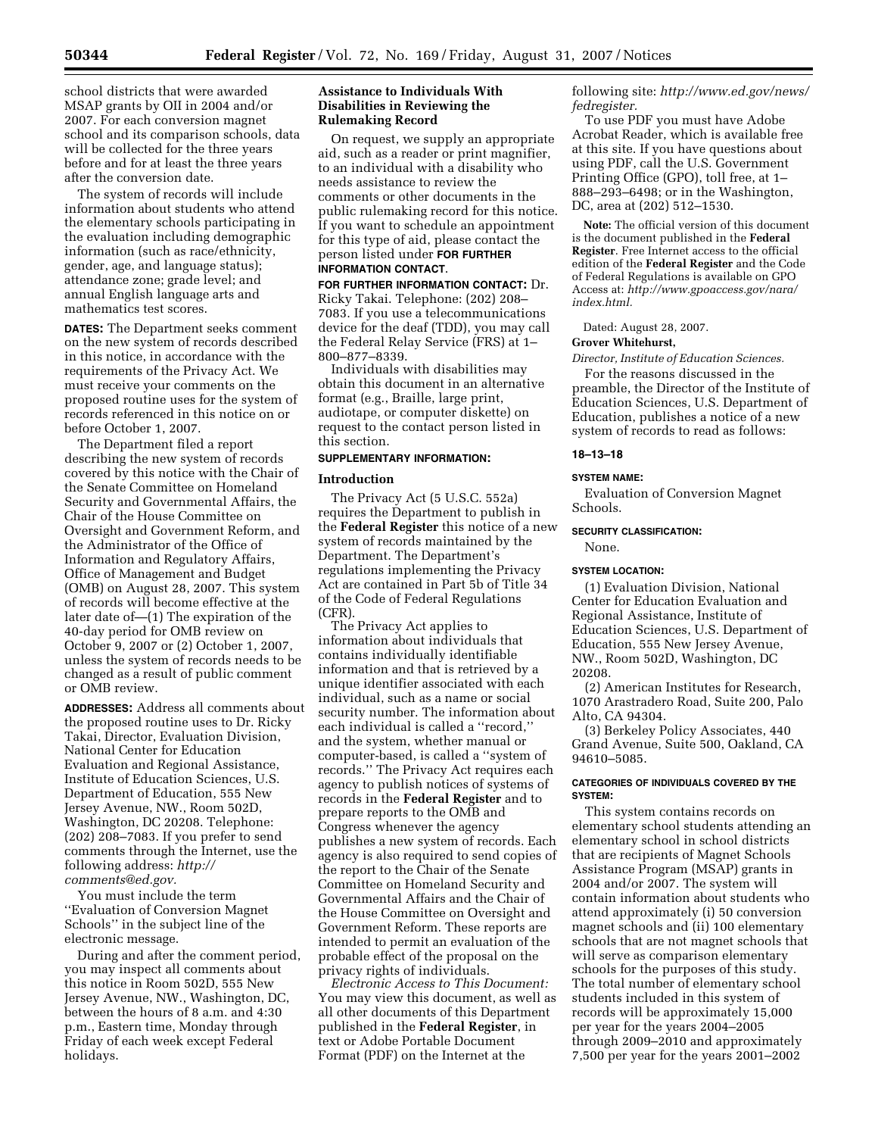school districts that were awarded MSAP grants by OII in 2004 and/or 2007. For each conversion magnet school and its comparison schools, data will be collected for the three years before and for at least the three years after the conversion date.

The system of records will include information about students who attend the elementary schools participating in the evaluation including demographic information (such as race/ethnicity, gender, age, and language status); attendance zone; grade level; and annual English language arts and mathematics test scores.

**DATES:** The Department seeks comment on the new system of records described in this notice, in accordance with the requirements of the Privacy Act. We must receive your comments on the proposed routine uses for the system of records referenced in this notice on or before October 1, 2007.

The Department filed a report describing the new system of records covered by this notice with the Chair of the Senate Committee on Homeland Security and Governmental Affairs, the Chair of the House Committee on Oversight and Government Reform, and the Administrator of the Office of Information and Regulatory Affairs, Office of Management and Budget (OMB) on August 28, 2007. This system of records will become effective at the later date of—(1) The expiration of the 40-day period for OMB review on October 9, 2007 or (2) October 1, 2007, unless the system of records needs to be changed as a result of public comment or OMB review.

**ADDRESSES:** Address all comments about the proposed routine uses to Dr. Ricky Takai, Director, Evaluation Division, National Center for Education Evaluation and Regional Assistance, Institute of Education Sciences, U.S. Department of Education, 555 New Jersey Avenue, NW., Room 502D, Washington, DC 20208. Telephone: (202) 208–7083. If you prefer to send comments through the Internet, use the following address: *http:// comments@ed.gov.* 

You must include the term ''Evaluation of Conversion Magnet Schools'' in the subject line of the electronic message.

During and after the comment period, you may inspect all comments about this notice in Room 502D, 555 New Jersey Avenue, NW., Washington, DC, between the hours of 8 a.m. and 4:30 p.m., Eastern time, Monday through Friday of each week except Federal holidays.

# **Assistance to Individuals With Disabilities in Reviewing the Rulemaking Record**

On request, we supply an appropriate aid, such as a reader or print magnifier, to an individual with a disability who needs assistance to review the comments or other documents in the public rulemaking record for this notice. If you want to schedule an appointment for this type of aid, please contact the person listed under **FOR FURTHER** 

# **INFORMATION CONTACT**.

**FOR FURTHER INFORMATION CONTACT:** Dr. Ricky Takai. Telephone: (202) 208– 7083. If you use a telecommunications device for the deaf (TDD), you may call the Federal Relay Service (FRS) at 1– 800–877–8339.

Individuals with disabilities may obtain this document in an alternative format (e.g., Braille, large print, audiotape, or computer diskette) on request to the contact person listed in this section.

# **SUPPLEMENTARY INFORMATION:**

## **Introduction**

The Privacy Act (5 U.S.C. 552a) requires the Department to publish in the **Federal Register** this notice of a new system of records maintained by the Department. The Department's regulations implementing the Privacy Act are contained in Part 5b of Title 34 of the Code of Federal Regulations (CFR).

The Privacy Act applies to information about individuals that contains individually identifiable information and that is retrieved by a unique identifier associated with each individual, such as a name or social security number. The information about each individual is called a ''record,'' and the system, whether manual or computer-based, is called a ''system of records.'' The Privacy Act requires each agency to publish notices of systems of records in the **Federal Register** and to prepare reports to the OMB and Congress whenever the agency publishes a new system of records. Each agency is also required to send copies of the report to the Chair of the Senate Committee on Homeland Security and Governmental Affairs and the Chair of the House Committee on Oversight and Government Reform. These reports are intended to permit an evaluation of the probable effect of the proposal on the privacy rights of individuals.

*Electronic Access to This Document:*  You may view this document, as well as all other documents of this Department published in the **Federal Register**, in text or Adobe Portable Document Format (PDF) on the Internet at the

following site: *http://www.ed.gov/news/ fedregister.* 

To use PDF you must have Adobe Acrobat Reader, which is available free at this site. If you have questions about using PDF, call the U.S. Government Printing Office (GPO), toll free, at 1– 888–293–6498; or in the Washington, DC, area at (202) 512–1530.

**Note:** The official version of this document is the document published in the **Federal Register**. Free Internet access to the official edition of the **Federal Register** and the Code of Federal Regulations is available on GPO Access at: *http://www.gpoaccess.gov/nara/ index.html.* 

Dated: August 28, 2007.

# **Grover Whitehurst,**

*Director, Institute of Education Sciences.*  For the reasons discussed in the preamble, the Director of the Institute of Education Sciences, U.S. Department of Education, publishes a notice of a new system of records to read as follows:

#### **18–13–18**

#### **SYSTEM NAME:**

Evaluation of Conversion Magnet Schools.

### **SECURITY CLASSIFICATION:**

None.

#### **SYSTEM LOCATION:**

(1) Evaluation Division, National Center for Education Evaluation and Regional Assistance, Institute of Education Sciences, U.S. Department of Education, 555 New Jersey Avenue, NW., Room 502D, Washington, DC 20208.

(2) American Institutes for Research, 1070 Arastradero Road, Suite 200, Palo Alto, CA 94304.

(3) Berkeley Policy Associates, 440 Grand Avenue, Suite 500, Oakland, CA 94610–5085.

### **CATEGORIES OF INDIVIDUALS COVERED BY THE SYSTEM:**

This system contains records on elementary school students attending an elementary school in school districts that are recipients of Magnet Schools Assistance Program (MSAP) grants in 2004 and/or 2007. The system will contain information about students who attend approximately (i) 50 conversion magnet schools and (ii) 100 elementary schools that are not magnet schools that will serve as comparison elementary schools for the purposes of this study. The total number of elementary school students included in this system of records will be approximately 15,000 per year for the years 2004–2005 through 2009–2010 and approximately 7,500 per year for the years 2001–2002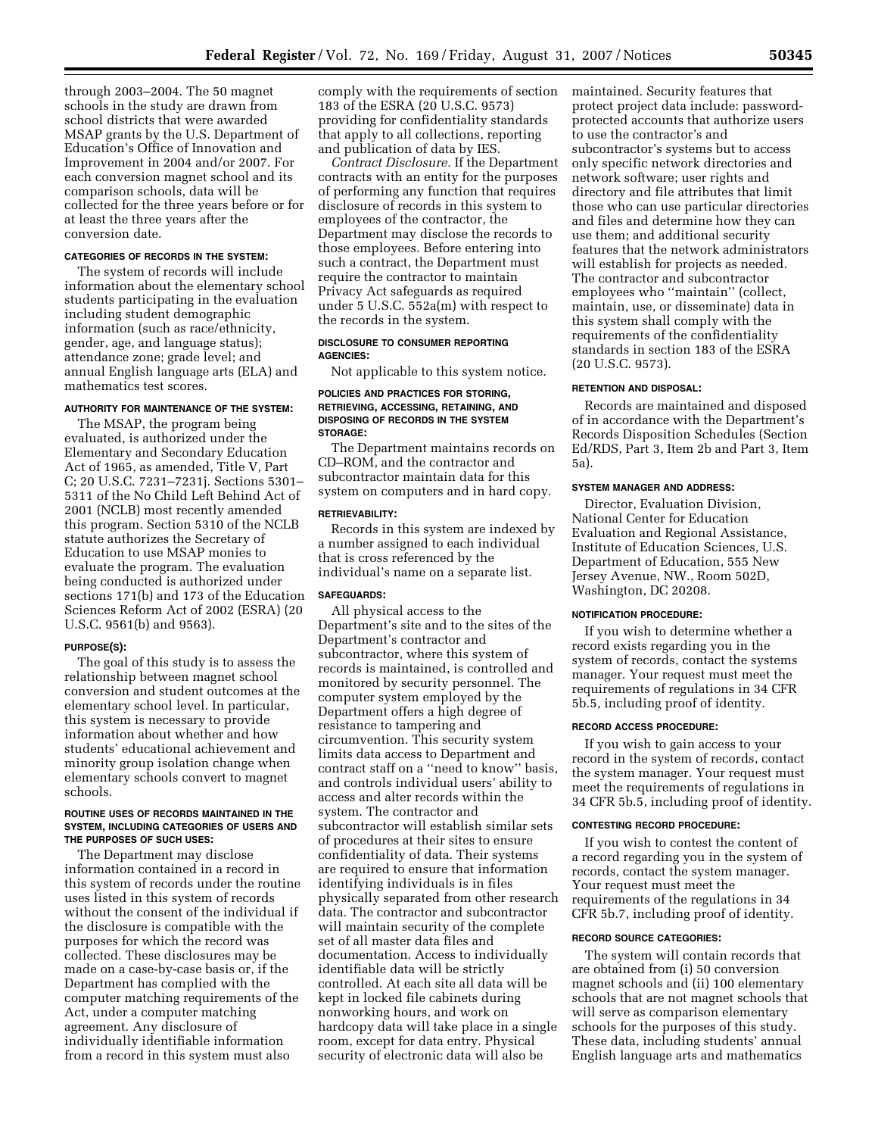through 2003–2004. The 50 magnet schools in the study are drawn from school districts that were awarded MSAP grants by the U.S. Department of Education's Office of Innovation and Improvement in 2004 and/or 2007. For each conversion magnet school and its comparison schools, data will be collected for the three years before or for at least the three years after the conversion date.

#### **CATEGORIES OF RECORDS IN THE SYSTEM:**

The system of records will include information about the elementary school students participating in the evaluation including student demographic information (such as race/ethnicity, gender, age, and language status); attendance zone; grade level; and annual English language arts (ELA) and mathematics test scores.

#### **AUTHORITY FOR MAINTENANCE OF THE SYSTEM:**

The MSAP, the program being evaluated, is authorized under the Elementary and Secondary Education Act of 1965, as amended, Title V, Part C; 20 U.S.C. 7231–7231j. Sections 5301– 5311 of the No Child Left Behind Act of 2001 (NCLB) most recently amended this program. Section 5310 of the NCLB statute authorizes the Secretary of Education to use MSAP monies to evaluate the program. The evaluation being conducted is authorized under sections 171(b) and 173 of the Education Sciences Reform Act of 2002 (ESRA) (20 U.S.C. 9561(b) and 9563).

#### **PURPOSE(S):**

The goal of this study is to assess the relationship between magnet school conversion and student outcomes at the elementary school level. In particular, this system is necessary to provide information about whether and how students' educational achievement and minority group isolation change when elementary schools convert to magnet schools.

#### **ROUTINE USES OF RECORDS MAINTAINED IN THE SYSTEM, INCLUDING CATEGORIES OF USERS AND THE PURPOSES OF SUCH USES:**

The Department may disclose information contained in a record in this system of records under the routine uses listed in this system of records without the consent of the individual if the disclosure is compatible with the purposes for which the record was collected. These disclosures may be made on a case-by-case basis or, if the Department has complied with the computer matching requirements of the Act, under a computer matching agreement. Any disclosure of individually identifiable information from a record in this system must also

comply with the requirements of section 183 of the ESRA (20 U.S.C. 9573) providing for confidentiality standards that apply to all collections, reporting and publication of data by IES.

*Contract Disclosure.* If the Department contracts with an entity for the purposes of performing any function that requires disclosure of records in this system to employees of the contractor, the Department may disclose the records to those employees. Before entering into such a contract, the Department must require the contractor to maintain Privacy Act safeguards as required under 5 U.S.C. 552a(m) with respect to the records in the system.

### **DISCLOSURE TO CONSUMER REPORTING AGENCIES:**

Not applicable to this system notice.

### **POLICIES AND PRACTICES FOR STORING, RETRIEVING, ACCESSING, RETAINING, AND DISPOSING OF RECORDS IN THE SYSTEM STORAGE:**

The Department maintains records on CD–ROM, and the contractor and subcontractor maintain data for this system on computers and in hard copy.

### **RETRIEVABILITY:**

Records in this system are indexed by a number assigned to each individual that is cross referenced by the individual's name on a separate list.

#### **SAFEGUARDS:**

All physical access to the Department's site and to the sites of the Department's contractor and subcontractor, where this system of records is maintained, is controlled and monitored by security personnel. The computer system employed by the Department offers a high degree of resistance to tampering and circumvention. This security system limits data access to Department and contract staff on a ''need to know'' basis, and controls individual users' ability to access and alter records within the system. The contractor and subcontractor will establish similar sets of procedures at their sites to ensure confidentiality of data. Their systems are required to ensure that information identifying individuals is in files physically separated from other research data. The contractor and subcontractor will maintain security of the complete set of all master data files and documentation. Access to individually identifiable data will be strictly controlled. At each site all data will be kept in locked file cabinets during nonworking hours, and work on hardcopy data will take place in a single room, except for data entry. Physical security of electronic data will also be

maintained. Security features that protect project data include: passwordprotected accounts that authorize users to use the contractor's and subcontractor's systems but to access only specific network directories and network software; user rights and directory and file attributes that limit those who can use particular directories and files and determine how they can use them; and additional security features that the network administrators will establish for projects as needed. The contractor and subcontractor employees who ''maintain'' (collect, maintain, use, or disseminate) data in this system shall comply with the requirements of the confidentiality standards in section 183 of the ESRA (20 U.S.C. 9573).

#### **RETENTION AND DISPOSAL:**

Records are maintained and disposed of in accordance with the Department's Records Disposition Schedules (Section Ed/RDS, Part 3, Item 2b and Part 3, Item 5a).

### **SYSTEM MANAGER AND ADDRESS:**

Director, Evaluation Division, National Center for Education Evaluation and Regional Assistance, Institute of Education Sciences, U.S. Department of Education, 555 New Jersey Avenue, NW., Room 502D, Washington, DC 20208.

#### **NOTIFICATION PROCEDURE:**

If you wish to determine whether a record exists regarding you in the system of records, contact the systems manager. Your request must meet the requirements of regulations in 34 CFR 5b.5, including proof of identity.

### **RECORD ACCESS PROCEDURE:**

If you wish to gain access to your record in the system of records, contact the system manager. Your request must meet the requirements of regulations in 34 CFR 5b.5, including proof of identity.

### **CONTESTING RECORD PROCEDURE:**

If you wish to contest the content of a record regarding you in the system of records, contact the system manager. Your request must meet the requirements of the regulations in 34 CFR 5b.7, including proof of identity.

## **RECORD SOURCE CATEGORIES:**

The system will contain records that are obtained from (i) 50 conversion magnet schools and (ii) 100 elementary schools that are not magnet schools that will serve as comparison elementary schools for the purposes of this study. These data, including students' annual English language arts and mathematics